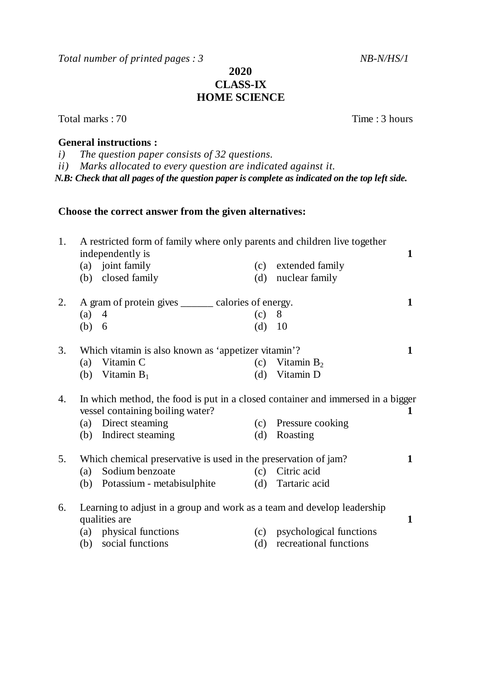Total number of printed pages : 3 NB-N/HS/1

## **2020 CLASS-IX HOME SCIENCE**

Total marks : 70 Time : 3 hours

### **General instructions :**

*i) The question paper consists of 32 questions.* 

*ii) Marks allocated to every question are indicated against it.*

*N.B: Check that all pages of the question paper is complete as indicated on the top left side.*

## **Choose the correct answer from the given alternatives:**

| 1. | A restricted form of family where only parents and children live together<br>independently is                       |                                                                         |          |                         |   |
|----|---------------------------------------------------------------------------------------------------------------------|-------------------------------------------------------------------------|----------|-------------------------|---|
|    |                                                                                                                     | (a) joint family                                                        | (c)      | extended family         |   |
|    |                                                                                                                     | (b) closed family                                                       | (d)      | nuclear family          |   |
| 2. |                                                                                                                     | A gram of protein gives ______ calories of energy.                      |          |                         |   |
|    | $(a)$ 4                                                                                                             |                                                                         | (c)      | 8                       |   |
|    | (b) 6                                                                                                               |                                                                         | $(d)$ 10 |                         |   |
| 3. | Which vitamin is also known as 'appetizer vitamin'?                                                                 |                                                                         |          |                         | 1 |
|    | (a)                                                                                                                 | Vitamin C                                                               | (c)      | Vitamin $B_2$           |   |
|    |                                                                                                                     | (b) Vitamin $B_1$                                                       |          | (d) Vitamin D           |   |
| 4. | In which method, the food is put in a closed container and immersed in a bigger<br>vessel containing boiling water? |                                                                         |          |                         | 1 |
|    |                                                                                                                     | (a) Direct steaming                                                     |          | (c) Pressure cooking    |   |
|    |                                                                                                                     | (b) Indirect steaming                                                   | (d)      | Roasting                |   |
| 5. | Which chemical preservative is used in the preservation of jam?                                                     |                                                                         |          |                         | 1 |
|    | (a)                                                                                                                 | Sodium benzoate                                                         | (c)      | Citric acid             |   |
|    |                                                                                                                     | (b) Potassium - metabisulphite                                          | (d)      | Tartaric acid           |   |
| 6. | qualities are                                                                                                       | Learning to adjust in a group and work as a team and develop leadership |          |                         | 1 |
|    |                                                                                                                     | (a) physical functions                                                  | (c)      | psychological functions |   |
|    | (b)                                                                                                                 | social functions                                                        | (d)      | recreational functions  |   |
|    |                                                                                                                     |                                                                         |          |                         |   |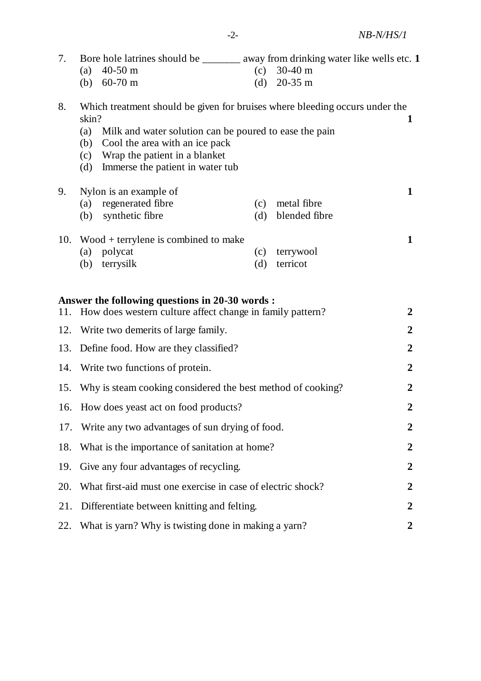| 7.  | Bore hole latrines should be _______ away from drinking water like wells etc. 1<br>$30-40$ m<br>$40-50$ m<br>(c)<br>(a)<br>(b) $60-70 \text{ m}$<br>$20-35$ m<br>(d)                                                                                                              |                  |  |  |  |
|-----|-----------------------------------------------------------------------------------------------------------------------------------------------------------------------------------------------------------------------------------------------------------------------------------|------------------|--|--|--|
| 8.  | Which treatment should be given for bruises where bleeding occurs under the<br>skin?<br>(a)<br>Milk and water solution can be poured to ease the pain<br>Cool the area with an ice pack<br>(b)<br>Wrap the patient in a blanket<br>(c)<br>Immerse the patient in water tub<br>(d) |                  |  |  |  |
| 9.  | Nylon is an example of<br>regenerated fibre<br>metal fibre<br>(a)<br>(c)<br>blended fibre<br>synthetic fibre<br>(d)<br>(b)                                                                                                                                                        | $\mathbf{1}$     |  |  |  |
| 10. | $Wood + terrylene is combined to make$<br>polycat<br>terrywool<br>(a)<br>(c)<br>terrysilk<br>terricot<br>(b)<br>(d)                                                                                                                                                               | $\mathbf{1}$     |  |  |  |
| 11. | Answer the following questions in 20-30 words :<br>How does western culture affect change in family pattern?                                                                                                                                                                      | $\boldsymbol{2}$ |  |  |  |
| 12. | Write two demerits of large family.                                                                                                                                                                                                                                               |                  |  |  |  |
| 13. | Define food. How are they classified?                                                                                                                                                                                                                                             | $\boldsymbol{2}$ |  |  |  |
| 14. | Write two functions of protein.                                                                                                                                                                                                                                                   |                  |  |  |  |
| 15. | Why is steam cooking considered the best method of cooking?                                                                                                                                                                                                                       |                  |  |  |  |
|     | 16. How does yeast act on food products?                                                                                                                                                                                                                                          |                  |  |  |  |
| 17. | Write any two advantages of sun drying of food.                                                                                                                                                                                                                                   |                  |  |  |  |
| 18. | What is the importance of sanitation at home?                                                                                                                                                                                                                                     |                  |  |  |  |
| 19. | Give any four advantages of recycling.                                                                                                                                                                                                                                            |                  |  |  |  |
| 20. | What first-aid must one exercise in case of electric shock?                                                                                                                                                                                                                       |                  |  |  |  |
| 21. | Differentiate between knitting and felting.                                                                                                                                                                                                                                       |                  |  |  |  |
| 22. | What is yarn? Why is twisting done in making a yarn?                                                                                                                                                                                                                              |                  |  |  |  |